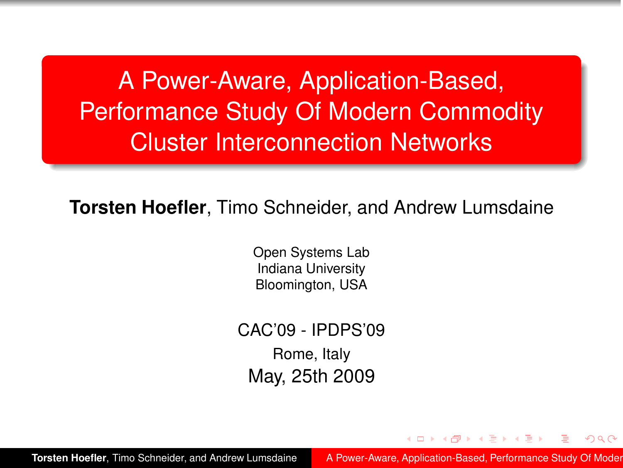A Power-Aware, Application-Based, Performance Study Of Modern Commodity Cluster Interconnection Networks

**Torsten Hoefler**, Timo Schneider, and Andrew Lumsdaine

Open Systems Lab Indiana University Bloomington, USA

CAC'09 - IPDPS'09 Rome, Italy May, 25th 2009

**Torsten Hoefler, Timo Schneider, and Andrew Lumsdaine A Power-Aware, Application-Based, Performance Study Of Moder** 

<span id="page-0-0"></span>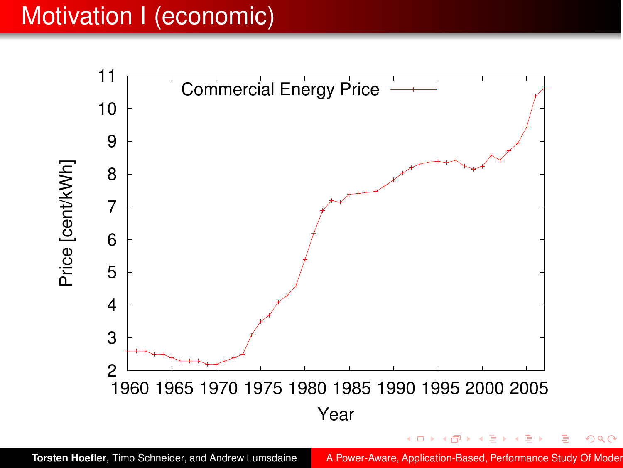### Motivation I (economic)

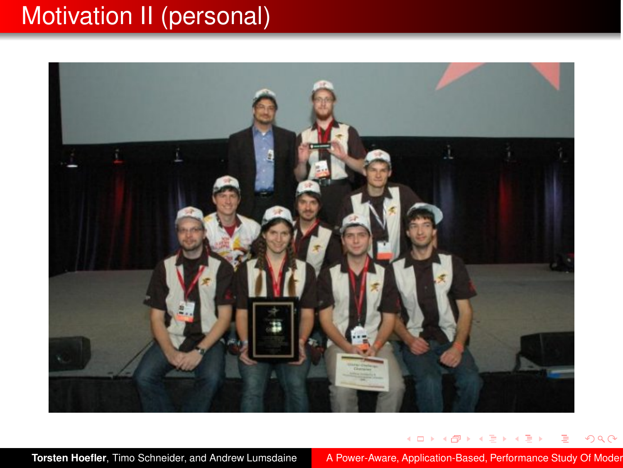# Motivation II (personal)



**Torsten Hoefler, Timo Schneider, and Andrew Lumsdaine** A Power-Aware, Application-Based, Performance Study Of Moder

イロトス 伊 トス ミトス

э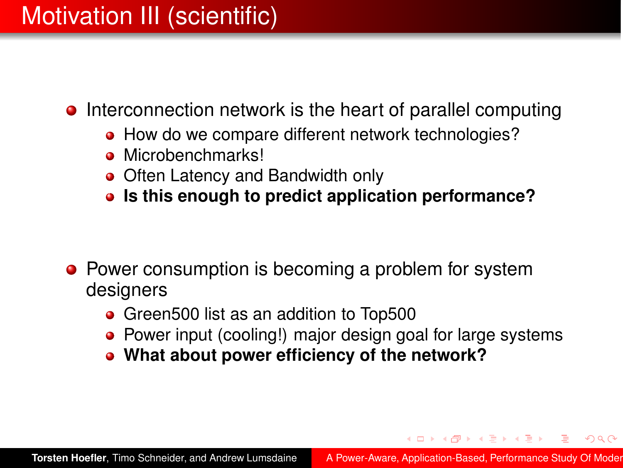## Motivation III (scientific)

- Interconnection network is the heart of parallel computing
	- How do we compare different network technologies?
	- Microbenchmarks!
	- Often Latency and Bandwidth only
	- **Is this enough to predict application performance?**

- Power consumption is becoming a problem for system designers
	- Green500 list as an addition to Top500
	- Power input (cooling!) major design goal for large systems
	- **What about power efficiency of the network?**

(ロトイ部) (唐) (唐)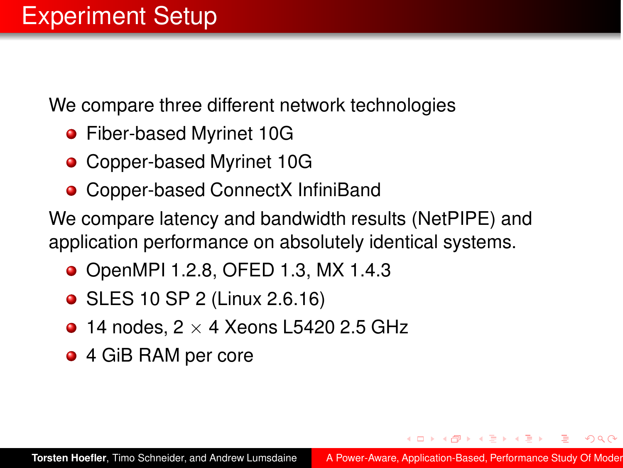We compare three different network technologies

- Fiber-based Myrinet 10G
- Copper-based Myrinet 10G
- Copper-based ConnectX InfiniBand

We compare latency and bandwidth results (NetPIPE) and application performance on absolutely identical systems.

- OpenMPI 1.2.8, OFED 1.3, MX 1.4.3
- SLES 10 SP 2 (Linux 2.6.16)
- $\bullet$  14 nodes, 2  $\times$  4 Xeons L5420 2.5 GHz
- 4 GiB RAM per core

④ → → 三 → →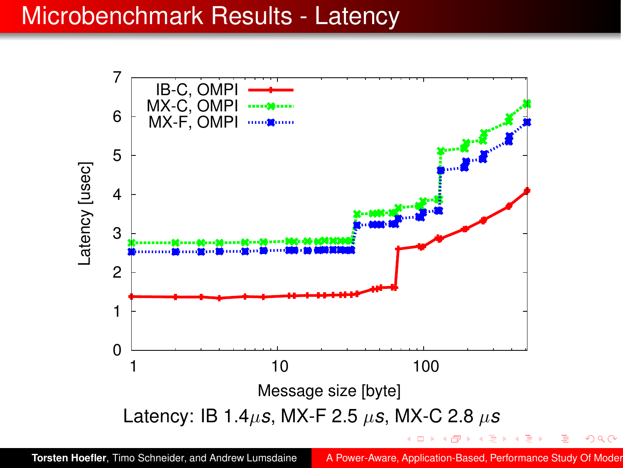#### Microbenchmark Results - Latency



 $QQ$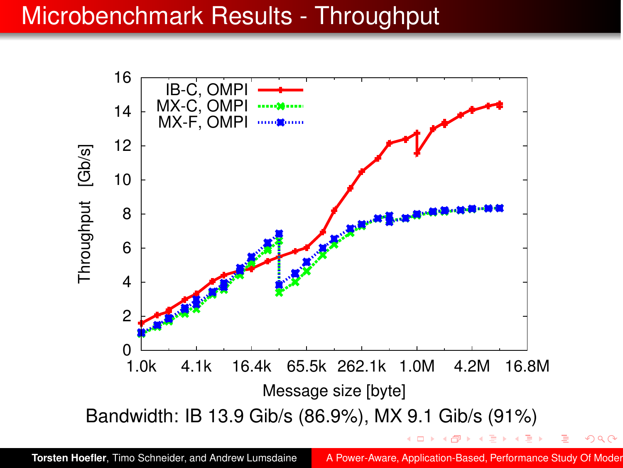#### Microbenchmark Results - Throughput



**Torsten Hoefler, Timo Schneider, and Andrew Lumsdaine A Power-Aware, Application-Based, Performance Study Of Moder** 

 $\Omega$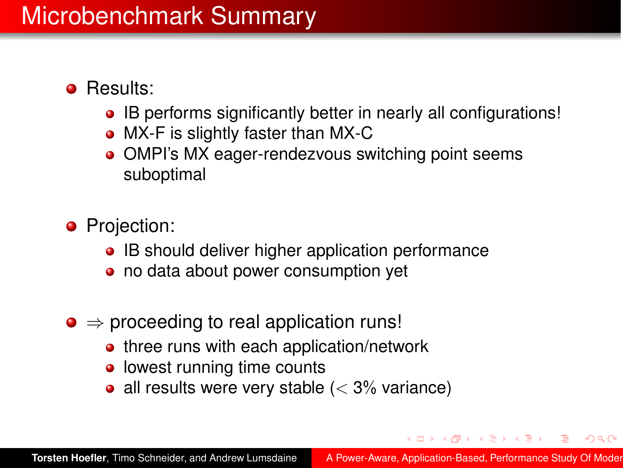#### **•** Results:

- IB performs significantly better in nearly all configurations!
- MX-F is slightly faster than MX-C
- OMPI's MX eager-rendezvous switching point seems suboptimal
- **•** Projection:
	- IB should deliver higher application performance
	- no data about power consumption yet
- $\bullet \Rightarrow$  proceeding to real application runs!
	- three runs with each application/network
	- lowest running time counts
	- all results were very stable  $(< 3\%$  variance)

(ロトイ部)→ (唐)→ (唐)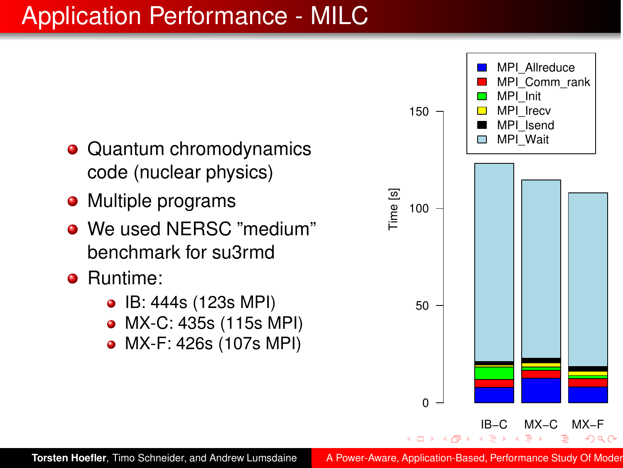# Application Performance - MILC

- Quantum chromodynamics code (nuclear physics)
- Multiple programs
- We used NERSC "medium" benchmark for su3rmd
- **•** Runtime:
	- IB: 444s (123s MPI)
	- MX-C: 435s (115s MPI)
	- MX-F: 426s (107s MPI)



**Torsten Hoefler, Timo Schneider, and Andrew Lumsdaine A Power-Aware, Application-Based, Performance Study Of Moder**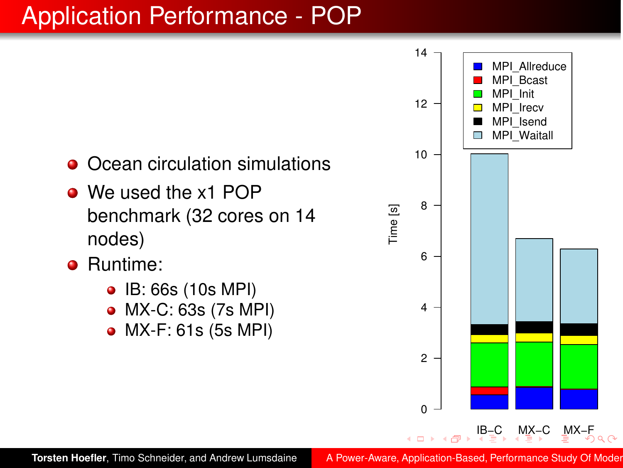# Application Performance - POP

- Ocean circulation simulations
- We used the x1 POP benchmark (32 cores on 14 nodes)
- Runtime:
	- IB: 66s (10s MPI)
	- MX-C: 63s (7s MPI)
	- MX-F: 61s (5s MPI)

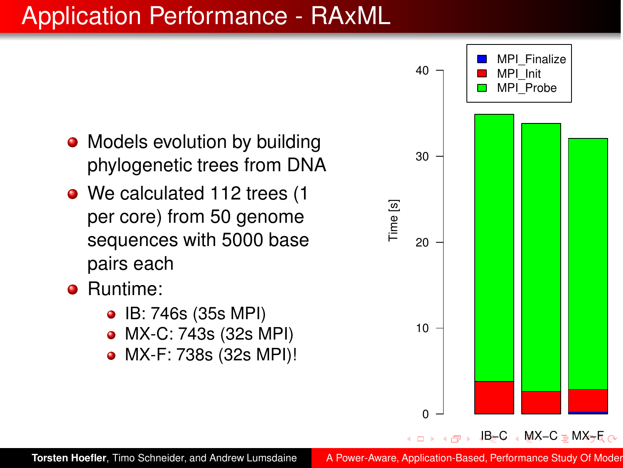# Application Performance - RAxML

- Models evolution by building phylogenetic trees from DNA
- We calculated 112 trees (1 per core) from 50 genome sequences with 5000 base pairs each
- Runtime:
	- IB: 746s (35s MPI)
	- MX-C: 743s (32s MPI)
	- MX-F: 738s (32s MPI)!

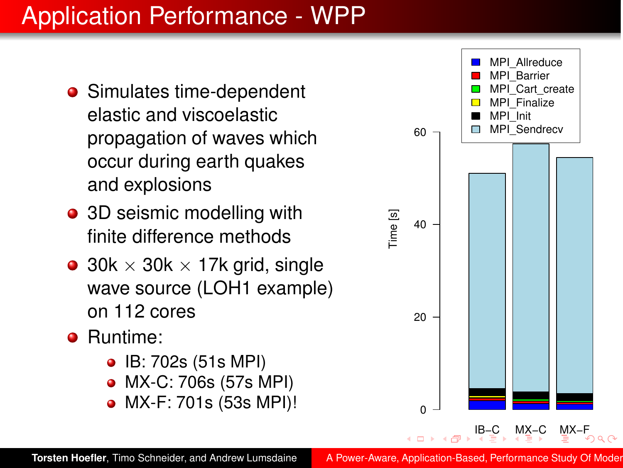# Application Performance - WPP

- Simulates time-dependent elastic and viscoelastic propagation of waves which occur during earth quakes and explosions
- 3D seismic modelling with finite difference methods
- 30k  $\times$  30k  $\times$  17k grid, single wave source (LOH1 example) on 112 cores
- Runtime:
	- IB: 702s (51s MPI)
	- MX-C: 706s (57s MPI)
	- MX-F: 701s (53s MPI)!



**Torsten Hoefler, Timo Schneider, and Andrew Lumsdaine [A Power-Aware, Application-Based, Performance Study Of Modern](#page-0-0)**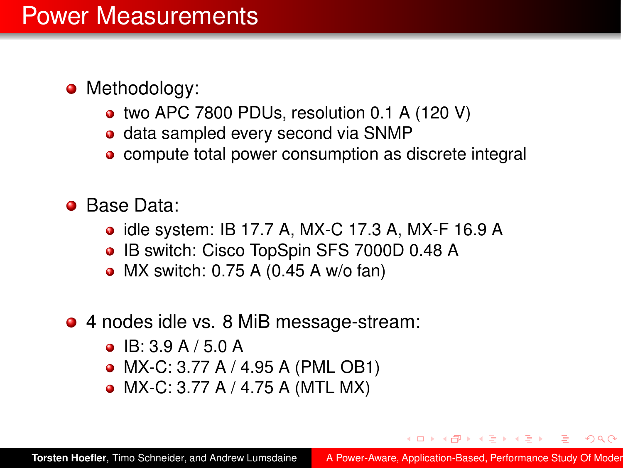- Methodology:
	- two APC 7800 PDUs, resolution 0.1 A (120 V)
	- data sampled every second via SNMP
	- compute total power consumption as discrete integral
- **Base Data:** 
	- idle system: IB 17.7 A, MX-C 17.3 A, MX-F 16.9 A
	- IB switch: Cisco TopSpin SFS 7000D 0.48 A
	- $\bullet$  MX switch: 0.75 A (0.45 A w/o fan)
- 4 nodes idle vs. 8 MiB message-stream:
	- $\bullet$  IB: 3.9 A / 5.0 A
	- MX-C: 3.77 A / 4.95 A (PML OB1)
	- MX-C: 3.77 A / 4.75 A (MTL MX)

<span id="page-12-0"></span>**←何 ▶ ◀ ヨ ▶ ◀**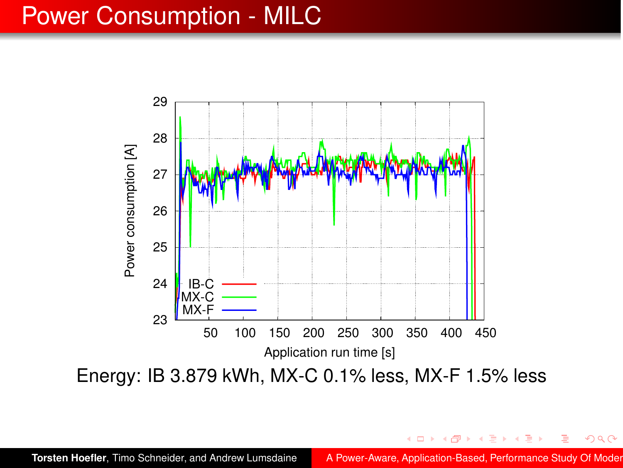#### Power Consumption - MILC



**Torsten Hoefler, Timo Schneider, and Andrew Lumsdaine A Power-Aware, Application-Based, Performance Study Of Moder** 

 $QQ$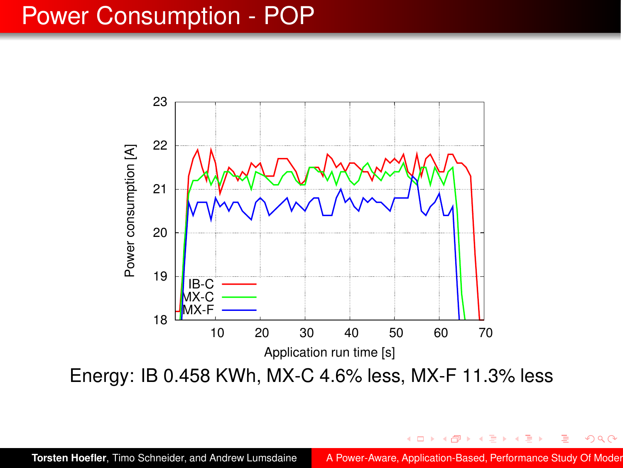#### Power Consumption - POP



 $QQ$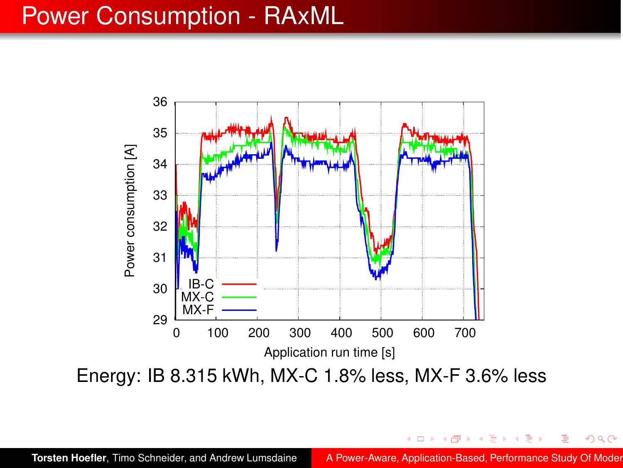#### Power Consumption - RAxML

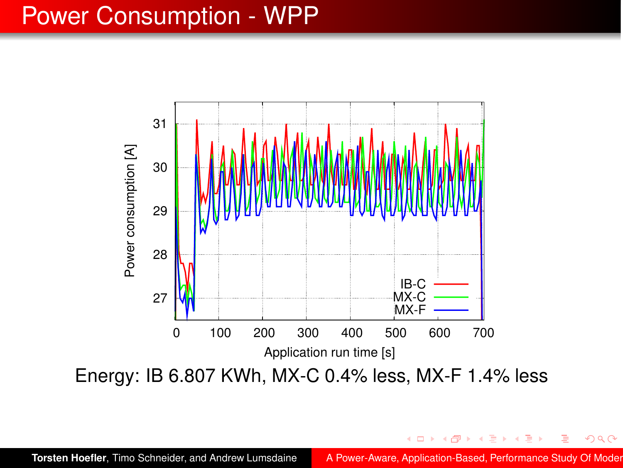#### Power Consumption - WPP

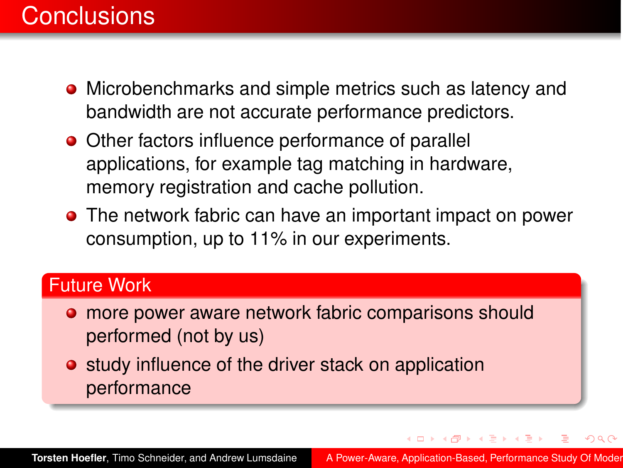- Microbenchmarks and simple metrics such as latency and bandwidth are not accurate performance predictors.
- Other factors influence performance of parallel applications, for example tag matching in hardware, memory registration and cache pollution.
- The network fabric can have an important impact on power consumption, up to 11% in our experiments.

#### Future Work

- **o** more power aware network fabric comparisons should performed (not by us)
- **•** study influence of the driver stack on application performance

 $\langle \overline{m} \rangle$  and  $\langle \overline{m} \rangle$